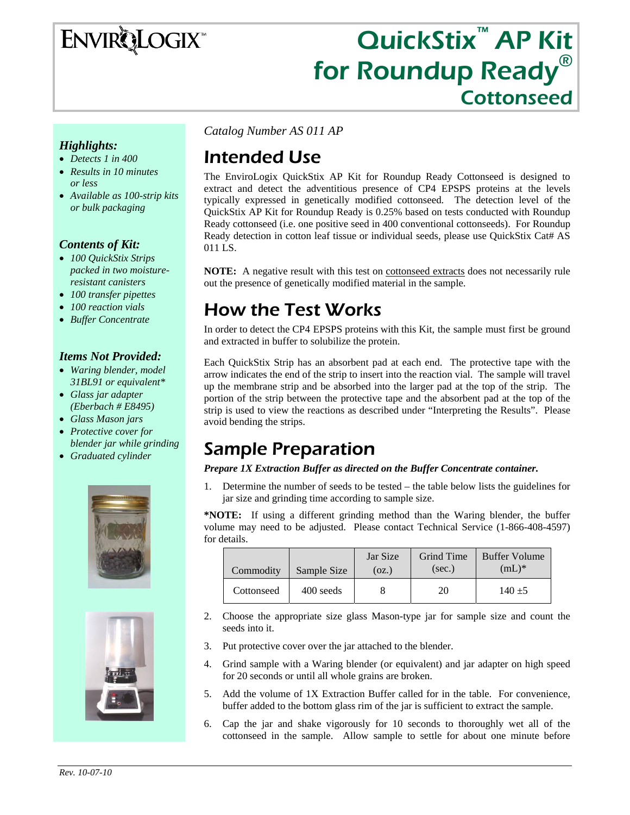# **ENVIRQLOGIX**

# QuickStix<sup>™</sup> AP Kit for Roundup Ready<sup>®</sup><br>Cottonseed

#### *Highlights:*

- *Detects 1 in 400*
- *Results in 10 minutes or less*
- *Available as 100-strip kits or bulk packaging*

#### *Contents of Kit:*

- *100 QuickStix Strips packed in two moistureresistant canisters*
- *100 transfer pipettes*
- *100 reaction vials*
- *Buffer Concentrate*

#### *Items Not Provided:*

- *Waring blender, model 31BL91 or equivalent\**
- *Glass jar adapter (Eberbach # E8495)*
- *Glass Mason jars*
- *Protective cover for blender jar while grinding*
- *Graduated cylinder*





*Catalog Number AS 011 AP* 

# Intended Use

The EnviroLogix QuickStix AP Kit for Roundup Ready Cottonseed is designed to extract and detect the adventitious presence of CP4 EPSPS proteins at the levels typically expressed in genetically modified cottonseed. The detection level of the QuickStix AP Kit for Roundup Ready is 0.25% based on tests conducted with Roundup Ready cottonseed (i.e. one positive seed in 400 conventional cottonseeds). For Roundup Ready detection in cotton leaf tissue or individual seeds, please use QuickStix Cat# AS 011 LS.

**NOTE:** A negative result with this test on cottonseed extracts does not necessarily rule out the presence of genetically modified material in the sample.

## How the Test Works

In order to detect the CP4 EPSPS proteins with this Kit, the sample must first be ground and extracted in buffer to solubilize the protein.

Each QuickStix Strip has an absorbent pad at each end. The protective tape with the arrow indicates the end of the strip to insert into the reaction vial. The sample will travel up the membrane strip and be absorbed into the larger pad at the top of the strip. The portion of the strip between the protective tape and the absorbent pad at the top of the strip is used to view the reactions as described under "Interpreting the Results". Please avoid bending the strips.

### Sample Preparation

#### *Prepare 1X Extraction Buffer as directed on the Buffer Concentrate container.*

1. Determine the number of seeds to be tested – the table below lists the guidelines for jar size and grinding time according to sample size.

**\*NOTE:** If using a different grinding method than the Waring blender, the buffer volume may need to be adjusted. Please contact Technical Service (1-866-408-4597) for details.

| Commodity  | Sample Size | Jar Size<br>(oz.) | <b>Grind Time</b><br>(sec.) | <b>Buffer Volume</b><br>$(mL)^*$ |
|------------|-------------|-------------------|-----------------------------|----------------------------------|
| Cottonseed | 400 seeds   |                   | 20                          | $140 + 5$                        |

- 2. Choose the appropriate size glass Mason-type jar for sample size and count the seeds into it.
- 3. Put protective cover over the jar attached to the blender.
- 4. Grind sample with a Waring blender (or equivalent) and jar adapter on high speed for 20 seconds or until all whole grains are broken.
- 5. Add the volume of 1X Extraction Buffer called for in the table. For convenience, buffer added to the bottom glass rim of the jar is sufficient to extract the sample.
- 6. Cap the jar and shake vigorously for 10 seconds to thoroughly wet all of the cottonseed in the sample. Allow sample to settle for about one minute before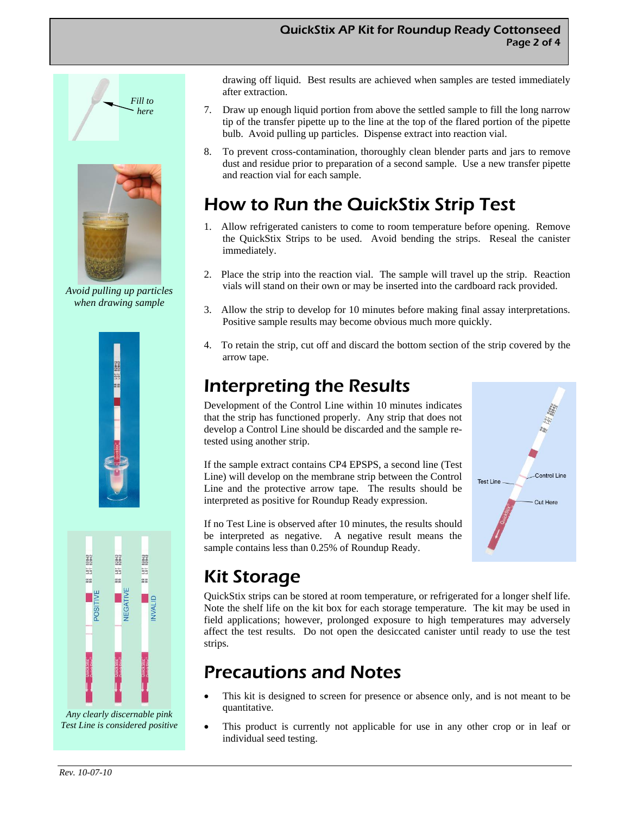

*Avoid pulling up particles when drawing sample* 





*Any clearly discernable pink Test Line is considered positive*  drawing off liquid. Best results are achieved when samples are tested immediately after extraction.

- 7. Draw up enough liquid portion from above the settled sample to fill the long narrow tip of the transfer pipette up to the line at the top of the flared portion of the pipette bulb. Avoid pulling up particles. Dispense extract into reaction vial.
- 8. To prevent cross-contamination, thoroughly clean blender parts and jars to remove dust and residue prior to preparation of a second sample. Use a new transfer pipette and reaction vial for each sample.

# How to Run the QuickStix Strip Test

- 1. Allow refrigerated canisters to come to room temperature before opening. Remove the QuickStix Strips to be used. Avoid bending the strips. Reseal the canister immediately.
- 2. Place the strip into the reaction vial. The sample will travel up the strip. Reaction vials will stand on their own or may be inserted into the cardboard rack provided.
- 3. Allow the strip to develop for 10 minutes before making final assay interpretations. Positive sample results may become obvious much more quickly.
- 4. To retain the strip, cut off and discard the bottom section of the strip covered by the arrow tape.

# Interpreting the Results

Development of the Control Line within 10 minutes indicates that the strip has functioned properly. Any strip that does not develop a Control Line should be discarded and the sample retested using another strip.

If the sample extract contains CP4 EPSPS, a second line (Test Line) will develop on the membrane strip between the Control Line and the protective arrow tape. The results should be interpreted as positive for Roundup Ready expression.

If no Test Line is observed after 10 minutes, the results should be interpreted as negative. A negative result means the sample contains less than 0.25% of Roundup Ready.



# Kit Storage

QuickStix strips can be stored at room temperature, or refrigerated for a longer shelf life. Note the shelf life on the kit box for each storage temperature. The kit may be used in field applications; however, prolonged exposure to high temperatures may adversely affect the test results. Do not open the desiccated canister until ready to use the test strips.

## Precautions and Notes

- This kit is designed to screen for presence or absence only, and is not meant to be quantitative.
- This product is currently not applicable for use in any other crop or in leaf or individual seed testing.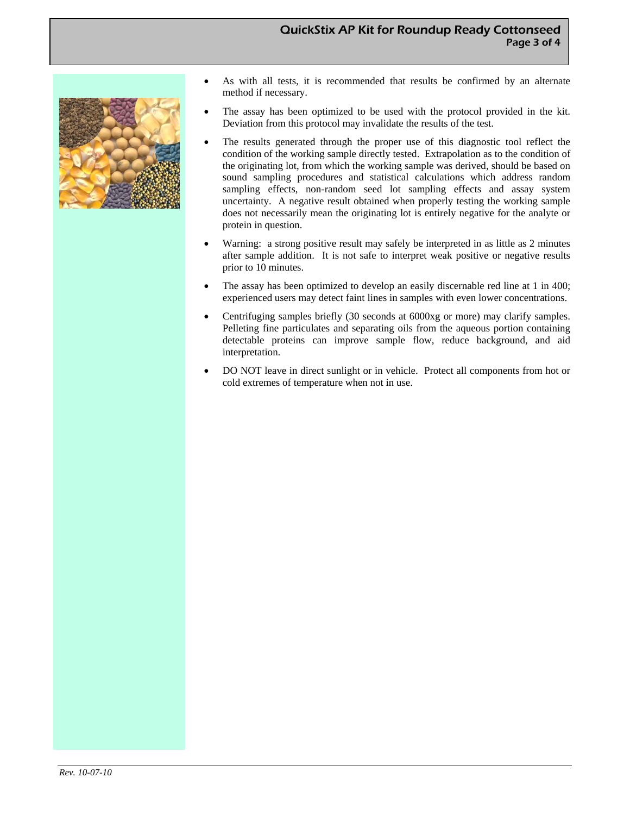#### QuickStix AP Kit for Roundup Ready Cottonseed Page 3 of 4



- As with all tests, it is recommended that results be confirmed by an alternate method if necessary.
- The assay has been optimized to be used with the protocol provided in the kit. Deviation from this protocol may invalidate the results of the test.
- The results generated through the proper use of this diagnostic tool reflect the condition of the working sample directly tested. Extrapolation as to the condition of the originating lot, from which the working sample was derived, should be based on sound sampling procedures and statistical calculations which address random sampling effects, non-random seed lot sampling effects and assay system uncertainty. A negative result obtained when properly testing the working sample does not necessarily mean the originating lot is entirely negative for the analyte or protein in question.
- Warning: a strong positive result may safely be interpreted in as little as 2 minutes after sample addition. It is not safe to interpret weak positive or negative results prior to 10 minutes.
- The assay has been optimized to develop an easily discernable red line at 1 in 400; experienced users may detect faint lines in samples with even lower concentrations.
- Centrifuging samples briefly (30 seconds at 6000xg or more) may clarify samples. Pelleting fine particulates and separating oils from the aqueous portion containing detectable proteins can improve sample flow, reduce background, and aid interpretation.
- DO NOT leave in direct sunlight or in vehicle. Protect all components from hot or cold extremes of temperature when not in use.